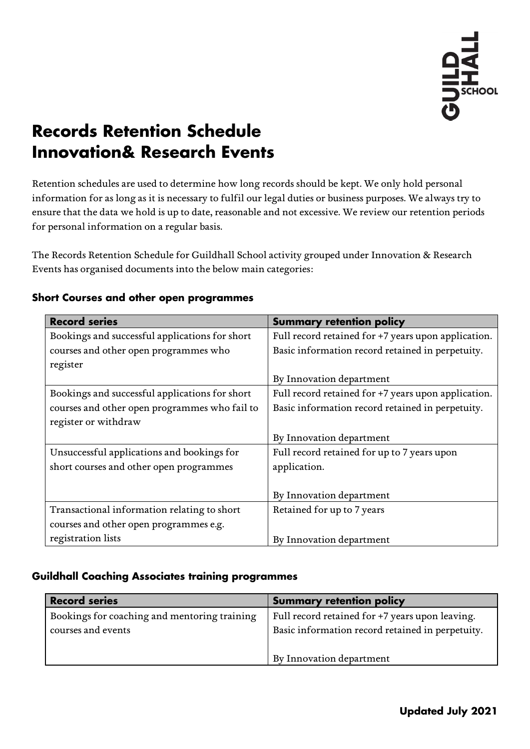

# **Records Retention Schedule Innovation& Research Events**

Retention schedules are used to determine how long records should be kept. We only hold personal information for as long as it is necessary to fulfil our legal duties or business purposes. We always try to ensure that the data we hold is up to date, reasonable and not excessive. We review our retention periods for personal information on a regular basis.

The Records Retention Schedule for Guildhall School activity grouped under Innovation & Research Events has organised documents into the below main categories:

| <b>Record series</b>                           | <b>Summary retention policy</b>                     |
|------------------------------------------------|-----------------------------------------------------|
| Bookings and successful applications for short | Full record retained for +7 years upon application. |
| courses and other open programmes who          | Basic information record retained in perpetuity.    |
| register                                       |                                                     |
|                                                | By Innovation department                            |
| Bookings and successful applications for short | Full record retained for +7 years upon application. |
| courses and other open programmes who fail to  | Basic information record retained in perpetuity.    |
| register or withdraw                           |                                                     |
|                                                | By Innovation department                            |
| Unsuccessful applications and bookings for     | Full record retained for up to 7 years upon         |
| short courses and other open programmes        | application.                                        |
|                                                |                                                     |
|                                                | By Innovation department                            |
| Transactional information relating to short    | Retained for up to 7 years                          |
| courses and other open programmes e.g.         |                                                     |
| registration lists                             | By Innovation department                            |

#### **Short Courses and other open programmes**

#### **Guildhall Coaching Associates training programmes**

| <b>Record series</b>                         | <b>Summary retention policy</b>                  |
|----------------------------------------------|--------------------------------------------------|
| Bookings for coaching and mentoring training | Full record retained for +7 years upon leaving.  |
| courses and events                           | Basic information record retained in perpetuity. |
|                                              |                                                  |
|                                              | By Innovation department                         |